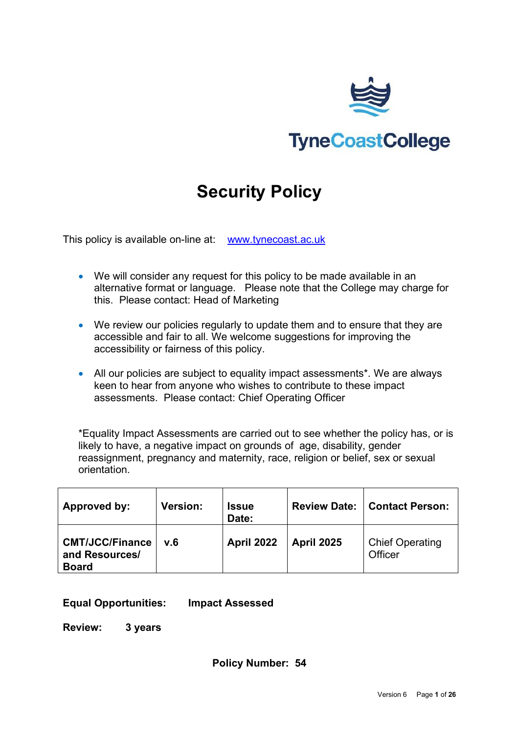

# **Security Policy**

This policy is available on-line at: [www.tynecoast.ac.uk](http://www.tynecoast.ac.uk/) 

- We will consider any request for this policy to be made available in an alternative format or language. Please note that the College may charge for this. Please contact: Head of Marketing
- We review our policies regularly to update them and to ensure that they are accessible and fair to all. We welcome suggestions for improving the accessibility or fairness of this policy.
- All our policies are subject to equality impact assessments\*. We are always keen to hear from anyone who wishes to contribute to these impact assessments. Please contact: Chief Operating Officer

\*Equality Impact Assessments are carried out to see whether the policy has, or is likely to have, a negative impact on grounds of age, disability, gender reassignment, pregnancy and maternity, race, religion or belief, sex or sexual orientation.

| Approved by:                                             | <b>Version:</b> | <b>Issue</b><br>Date: | <b>Review Date:</b> | Contact Person:                   |
|----------------------------------------------------------|-----------------|-----------------------|---------------------|-----------------------------------|
| <b>CMT/JCC/Finance</b><br>and Resources/<br><b>Board</b> | v.6             | <b>April 2022</b>     | <b>April 2025</b>   | <b>Chief Operating</b><br>Officer |

#### **Equal Opportunities: Impact Assessed**

**Review: 3 years**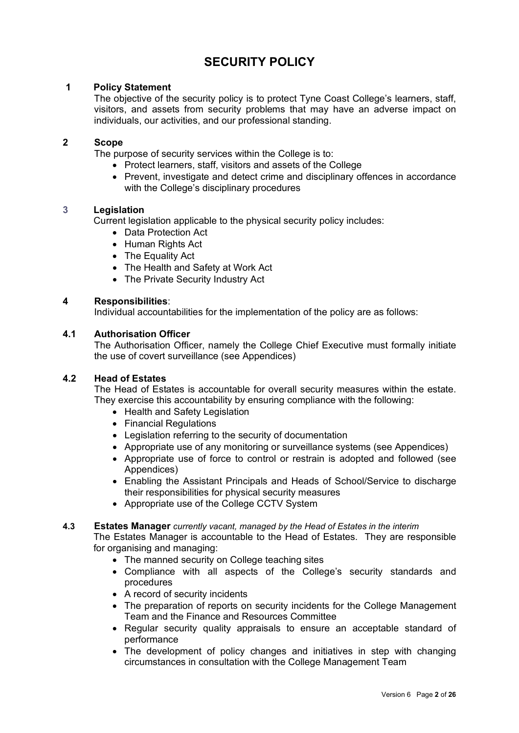# **SECURITY POLICY**

#### **1 Policy Statement**

The objective of the security policy is to protect Tyne Coast College's learners, staff, visitors, and assets from security problems that may have an adverse impact on individuals, our activities, and our professional standing.

#### **2 Scope**

The purpose of security services within the College is to:

- Protect learners, staff, visitors and assets of the College
- Prevent, investigate and detect crime and disciplinary offences in accordance with the College's disciplinary procedures

#### **3 Legislation**

Current legislation applicable to the physical security policy includes:

- Data Protection Act
- Human Rights Act
- The Equality Act
- The Health and Safety at Work Act
- The Private Security Industry Act

#### **4 Responsibilities**:

Individual accountabilities for the implementation of the policy are as follows:

#### **4.1 Authorisation Officer**

The Authorisation Officer, namely the College Chief Executive must formally initiate the use of covert surveillance (see Appendices)

#### **4.2 Head of Estates**

The Head of Estates is accountable for overall security measures within the estate. They exercise this accountability by ensuring compliance with the following:

- Health and Safety Legislation
- Financial Regulations
- Legislation referring to the security of documentation
- Appropriate use of any monitoring or surveillance systems (see Appendices)
- Appropriate use of force to control or restrain is adopted and followed (see Appendices)
- Enabling the Assistant Principals and Heads of School/Service to discharge their responsibilities for physical security measures
- Appropriate use of the College CCTV System

#### **4.3 Estates Manager** *currently vacant, managed by the Head of Estates in the interim*

The Estates Manager is accountable to the Head of Estates. They are responsible for organising and managing:

- The manned security on College teaching sites
- Compliance with all aspects of the College's security standards and procedures
- A record of security incidents
- The preparation of reports on security incidents for the College Management Team and the Finance and Resources Committee
- Regular security quality appraisals to ensure an acceptable standard of performance
- The development of policy changes and initiatives in step with changing circumstances in consultation with the College Management Team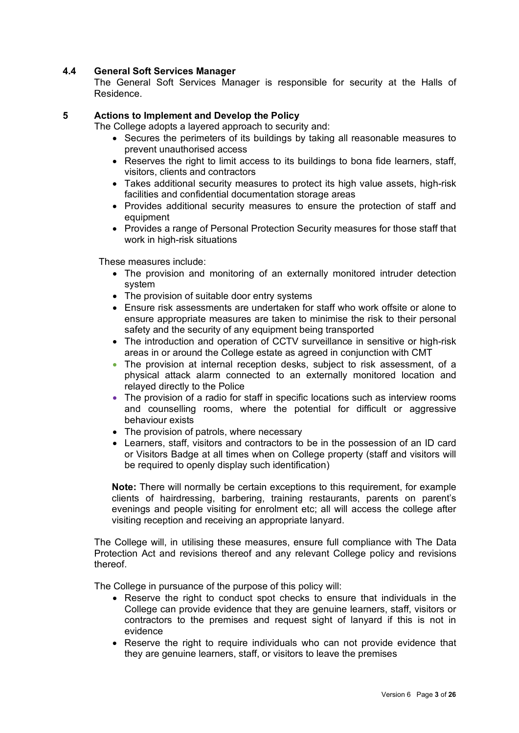#### **4.4 General Soft Services Manager**

The General Soft Services Manager is responsible for security at the Halls of Residence.

#### **5 Actions to Implement and Develop the Policy**

The College adopts a layered approach to security and:

- Secures the perimeters of its buildings by taking all reasonable measures to prevent unauthorised access
- Reserves the right to limit access to its buildings to bona fide learners, staff, visitors, clients and contractors
- Takes additional security measures to protect its high value assets, high-risk facilities and confidential documentation storage areas
- Provides additional security measures to ensure the protection of staff and equipment
- Provides a range of Personal Protection Security measures for those staff that work in high-risk situations

These measures include:

- The provision and monitoring of an externally monitored intruder detection system
- The provision of suitable door entry systems
- Ensure risk assessments are undertaken for staff who work offsite or alone to ensure appropriate measures are taken to minimise the risk to their personal safety and the security of any equipment being transported
- The introduction and operation of CCTV surveillance in sensitive or high-risk areas in or around the College estate as agreed in conjunction with CMT
- The provision at internal reception desks, subject to risk assessment, of a physical attack alarm connected to an externally monitored location and relayed directly to the Police
- The provision of a radio for staff in specific locations such as interview rooms and counselling rooms, where the potential for difficult or aggressive behaviour exists
- The provision of patrols, where necessary
- Learners, staff, visitors and contractors to be in the possession of an ID card or Visitors Badge at all times when on College property (staff and visitors will be required to openly display such identification)

**Note:** There will normally be certain exceptions to this requirement, for example clients of hairdressing, barbering, training restaurants, parents on parent's evenings and people visiting for enrolment etc; all will access the college after visiting reception and receiving an appropriate lanyard.

The College will, in utilising these measures, ensure full compliance with The Data Protection Act and revisions thereof and any relevant College policy and revisions thereof.

The College in pursuance of the purpose of this policy will:

- Reserve the right to conduct spot checks to ensure that individuals in the College can provide evidence that they are genuine learners, staff, visitors or contractors to the premises and request sight of lanyard if this is not in evidence
- Reserve the right to require individuals who can not provide evidence that they are genuine learners, staff, or visitors to leave the premises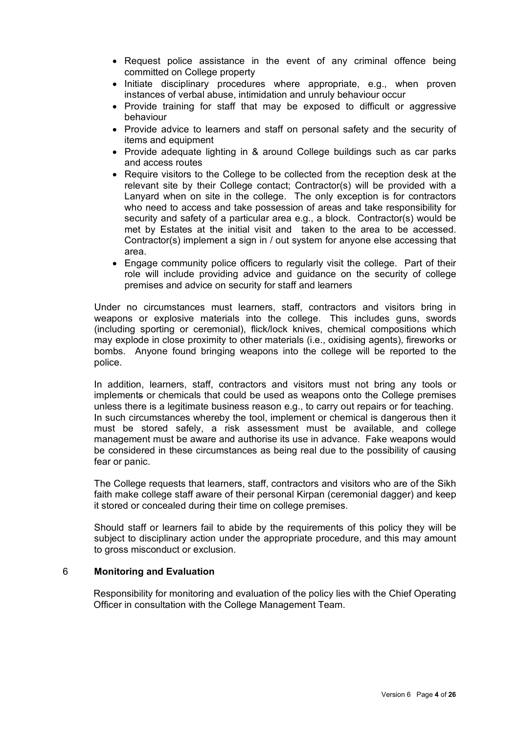- Request police assistance in the event of any criminal offence being committed on College property
- Initiate disciplinary procedures where appropriate, e.g., when proven instances of verbal abuse, intimidation and unruly behaviour occur
- Provide training for staff that may be exposed to difficult or aggressive behaviour
- Provide advice to learners and staff on personal safety and the security of items and equipment
- Provide adequate lighting in & around College buildings such as car parks and access routes
- Require visitors to the College to be collected from the reception desk at the relevant site by their College contact; Contractor(s) will be provided with a Lanyard when on site in the college. The only exception is for contractors who need to access and take possession of areas and take responsibility for security and safety of a particular area e.g., a block. Contractor(s) would be met by Estates at the initial visit and taken to the area to be accessed. Contractor(s) implement a sign in / out system for anyone else accessing that area.
- Engage community police officers to regularly visit the college. Part of their role will include providing advice and guidance on the security of college premises and advice on security for staff and learners

Under no circumstances must learners, staff, contractors and visitors bring in weapons or explosive materials into the college. This includes guns, swords (including sporting or ceremonial), flick/lock knives, chemical compositions which may explode in close proximity to other materials (i.e., oxidising agents), fireworks or bombs. Anyone found bringing weapons into the college will be reported to the police.

In addition, learners, staff, contractors and visitors must not bring any tools or implements or chemicals that could be used as weapons onto the College premises unless there is a legitimate business reason e.g., to carry out repairs or for teaching. In such circumstances whereby the tool, implement or chemical is dangerous then it must be stored safely, a risk assessment must be available, and college management must be aware and authorise its use in advance. Fake weapons would be considered in these circumstances as being real due to the possibility of causing fear or panic.

The College requests that learners, staff, contractors and visitors who are of the Sikh faith make college staff aware of their personal Kirpan (ceremonial dagger) and keep it stored or concealed during their time on college premises.

Should staff or learners fail to abide by the requirements of this policy they will be subject to disciplinary action under the appropriate procedure, and this may amount to gross misconduct or exclusion.

#### 6 **Monitoring and Evaluation**

Responsibility for monitoring and evaluation of the policy lies with the Chief Operating Officer in consultation with the College Management Team.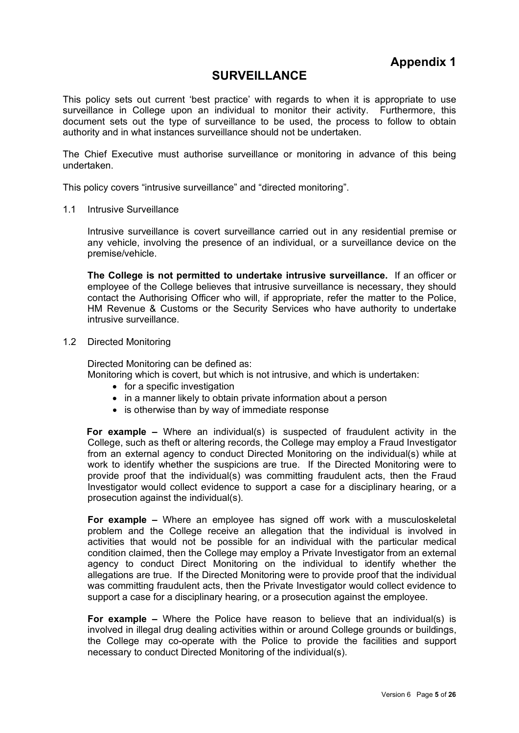### **SURVEILLANCE**

This policy sets out current 'best practice' with regards to when it is appropriate to use surveillance in College upon an individual to monitor their activity. Furthermore, this document sets out the type of surveillance to be used, the process to follow to obtain authority and in what instances surveillance should not be undertaken.

The Chief Executive must authorise surveillance or monitoring in advance of this being undertaken.

This policy covers "intrusive surveillance" and "directed monitoring".

1.1 Intrusive Surveillance

Intrusive surveillance is covert surveillance carried out in any residential premise or any vehicle, involving the presence of an individual, or a surveillance device on the premise/vehicle.

**The College is not permitted to undertake intrusive surveillance.** If an officer or employee of the College believes that intrusive surveillance is necessary, they should contact the Authorising Officer who will, if appropriate, refer the matter to the Police, HM Revenue & Customs or the Security Services who have authority to undertake intrusive surveillance.

1.2 Directed Monitoring

Directed Monitoring can be defined as:

Monitoring which is covert, but which is not intrusive, and which is undertaken:

- for a specific investigation
- in a manner likely to obtain private information about a person
- is otherwise than by way of immediate response

**For example –** Where an individual(s) is suspected of fraudulent activity in the College, such as theft or altering records, the College may employ a Fraud Investigator from an external agency to conduct Directed Monitoring on the individual(s) while at work to identify whether the suspicions are true. If the Directed Monitoring were to provide proof that the individual(s) was committing fraudulent acts, then the Fraud Investigator would collect evidence to support a case for a disciplinary hearing, or a prosecution against the individual(s).

**For example –** Where an employee has signed off work with a musculoskeletal problem and the College receive an allegation that the individual is involved in activities that would not be possible for an individual with the particular medical condition claimed, then the College may employ a Private Investigator from an external agency to conduct Direct Monitoring on the individual to identify whether the allegations are true. If the Directed Monitoring were to provide proof that the individual was committing fraudulent acts, then the Private Investigator would collect evidence to support a case for a disciplinary hearing, or a prosecution against the employee.

**For example –** Where the Police have reason to believe that an individual(s) is involved in illegal drug dealing activities within or around College grounds or buildings, the College may co-operate with the Police to provide the facilities and support necessary to conduct Directed Monitoring of the individual(s).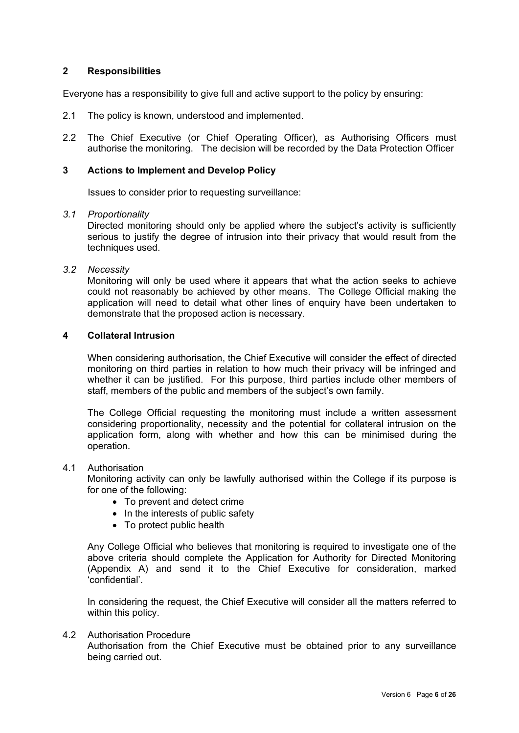#### **2 Responsibilities**

Everyone has a responsibility to give full and active support to the policy by ensuring:

- 2.1 The policy is known, understood and implemented.
- 2.2 The Chief Executive (or Chief Operating Officer), as Authorising Officers must authorise the monitoring. The decision will be recorded by the Data Protection Officer

#### **3 Actions to Implement and Develop Policy**

Issues to consider prior to requesting surveillance:

#### *3.1 Proportionality*

Directed monitoring should only be applied where the subject's activity is sufficiently serious to justify the degree of intrusion into their privacy that would result from the techniques used.

#### *3.2 Necessity*

Monitoring will only be used where it appears that what the action seeks to achieve could not reasonably be achieved by other means. The College Official making the application will need to detail what other lines of enquiry have been undertaken to demonstrate that the proposed action is necessary.

#### **4 Collateral Intrusion**

When considering authorisation, the Chief Executive will consider the effect of directed monitoring on third parties in relation to how much their privacy will be infringed and whether it can be justified. For this purpose, third parties include other members of staff, members of the public and members of the subject's own family.

The College Official requesting the monitoring must include a written assessment considering proportionality, necessity and the potential for collateral intrusion on the application form, along with whether and how this can be minimised during the operation.

#### 4.1 Authorisation

Monitoring activity can only be lawfully authorised within the College if its purpose is for one of the following:

- To prevent and detect crime
- In the interests of public safety
- To protect public health

Any College Official who believes that monitoring is required to investigate one of the above criteria should complete the Application for Authority for Directed Monitoring (Appendix A) and send it to the Chief Executive for consideration, marked 'confidential'.

In considering the request, the Chief Executive will consider all the matters referred to within this policy.

#### 4.2 Authorisation Procedure

Authorisation from the Chief Executive must be obtained prior to any surveillance being carried out.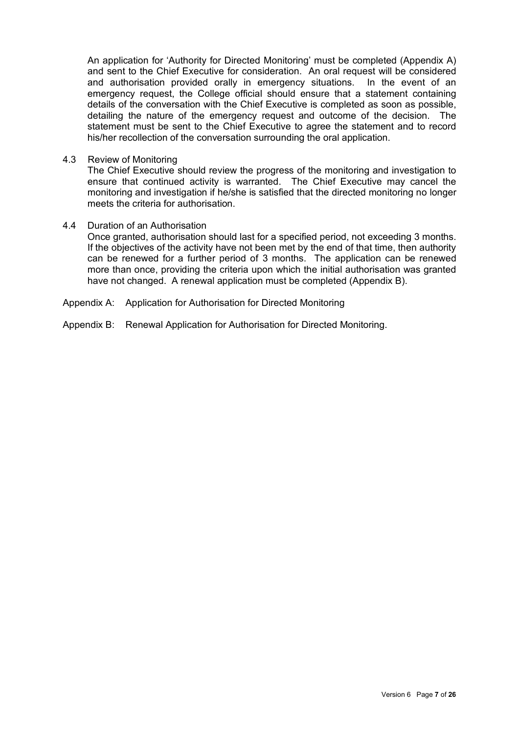An application for 'Authority for Directed Monitoring' must be completed (Appendix A) and sent to the Chief Executive for consideration. An oral request will be considered and authorisation provided orally in emergency situations. In the event of an emergency request, the College official should ensure that a statement containing details of the conversation with the Chief Executive is completed as soon as possible, detailing the nature of the emergency request and outcome of the decision. The statement must be sent to the Chief Executive to agree the statement and to record his/her recollection of the conversation surrounding the oral application.

4.3 Review of Monitoring

The Chief Executive should review the progress of the monitoring and investigation to ensure that continued activity is warranted. The Chief Executive may cancel the monitoring and investigation if he/she is satisfied that the directed monitoring no longer meets the criteria for authorisation.

4.4 Duration of an Authorisation

Once granted, authorisation should last for a specified period, not exceeding 3 months. If the objectives of the activity have not been met by the end of that time, then authority can be renewed for a further period of 3 months. The application can be renewed more than once, providing the criteria upon which the initial authorisation was granted have not changed. A renewal application must be completed (Appendix B).

- Appendix A: Application for Authorisation for Directed Monitoring
- Appendix B: Renewal Application for Authorisation for Directed Monitoring.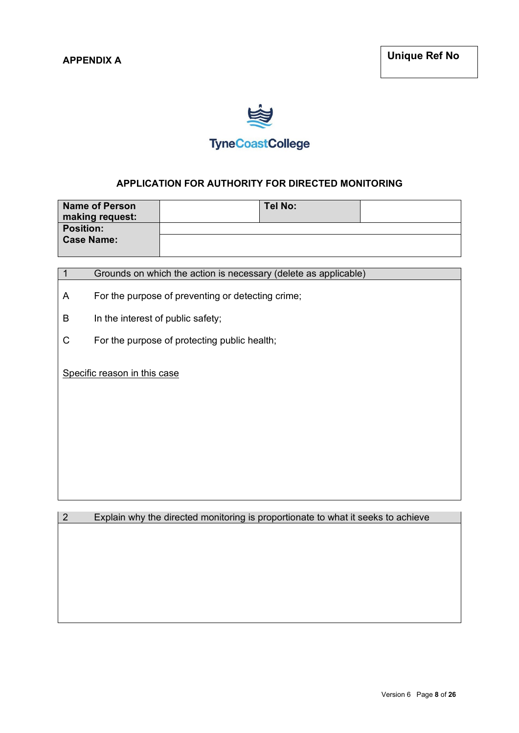

## **TyneCoastCollege**

#### **APPLICATION FOR AUTHORITY FOR DIRECTED MONITORING**

| <b>Name of Person</b> | Tel No: |  |
|-----------------------|---------|--|
| making request:       |         |  |
| <b>Position:</b>      |         |  |
| <b>Case Name:</b>     |         |  |

| Grounds on which the action is necessary (delete as applicable) |  |
|-----------------------------------------------------------------|--|
|-----------------------------------------------------------------|--|

- A For the purpose of preventing or detecting crime;
- B In the interest of public safety;
- C For the purpose of protecting public health;

Specific reason in this case

2 Explain why the directed monitoring is proportionate to what it seeks to achieve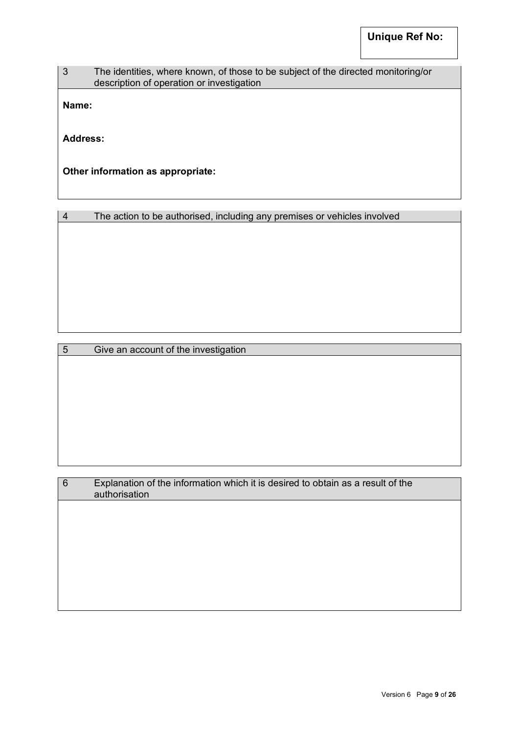#### 3 The identities, where known, of those to be subject of the directed monitoring/or description of operation or investigation

**Name:**

**Address:**

**Other information as appropriate:**

|  | The action to be authorised, including any premises or vehicles involved |  |  |  |
|--|--------------------------------------------------------------------------|--|--|--|
|--|--------------------------------------------------------------------------|--|--|--|

5 Give an account of the investigation

| $6\phantom{1}6$ | Explanation of the information which it is desired to obtain as a result of the<br>authorisation |
|-----------------|--------------------------------------------------------------------------------------------------|
|                 |                                                                                                  |
|                 |                                                                                                  |
|                 |                                                                                                  |
|                 |                                                                                                  |
|                 |                                                                                                  |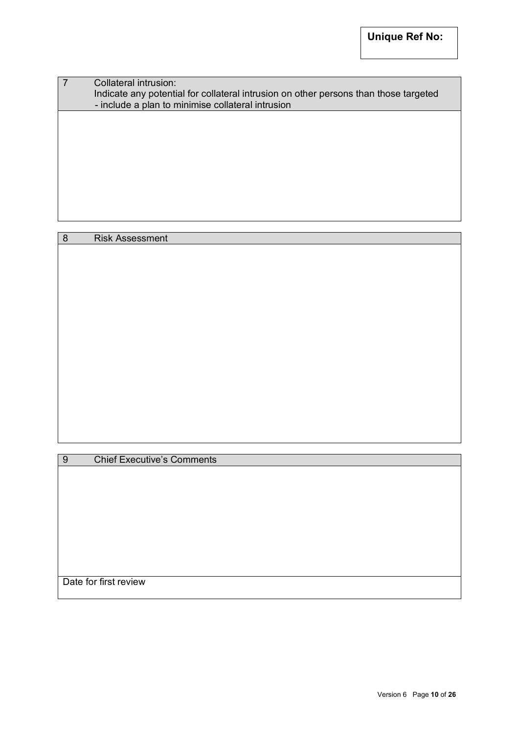| Collateral intrusion:<br>Indicate any potential for collateral intrusion on other persons than those targeted<br>- include a plan to minimise collateral intrusion |
|--------------------------------------------------------------------------------------------------------------------------------------------------------------------|
|                                                                                                                                                                    |
|                                                                                                                                                                    |
|                                                                                                                                                                    |

8 Risk Assessment

9 Chief Executive's Comments

Date for first review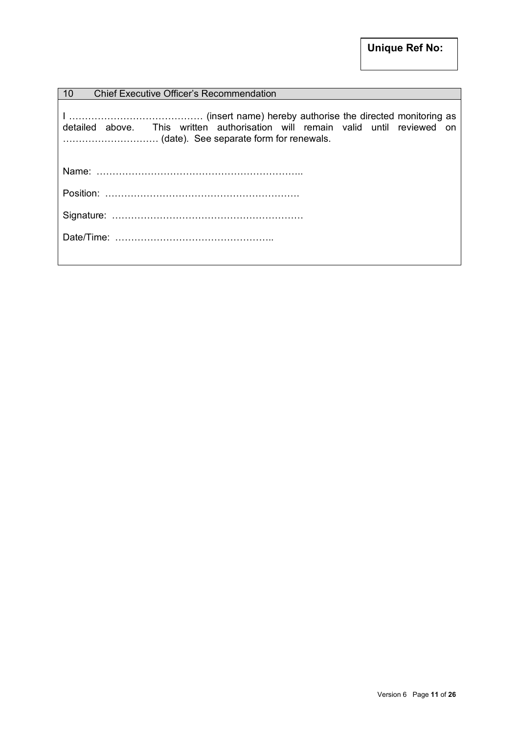| 10<br>Chief Executive Officer's Recommendation                                 |
|--------------------------------------------------------------------------------|
| detailed above. This written authorisation will remain valid until reviewed on |
|                                                                                |
|                                                                                |
|                                                                                |
|                                                                                |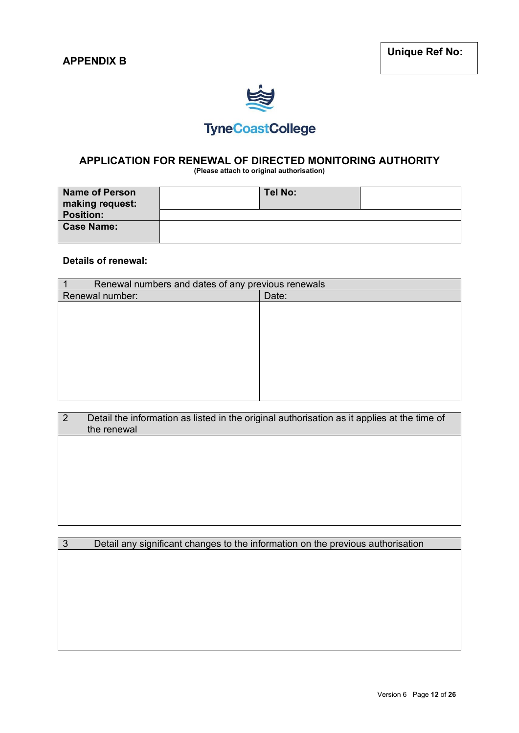

# **TyneCoastCollege**

# **APPLICATION FOR RENEWAL OF DIRECTED MONITORING AUTHORITY**

**(Please attach to original authorisation)** 

| <b>Name of Person</b><br>making request: | Tel No: |  |
|------------------------------------------|---------|--|
| <b>Position:</b>                         |         |  |
| <b>Case Name:</b>                        |         |  |

#### **Details of renewal:**

| Renewal numbers and dates of any previous renewals |       |
|----------------------------------------------------|-------|
| Renewal number:                                    | Date: |
|                                                    |       |
|                                                    |       |
|                                                    |       |
|                                                    |       |
|                                                    |       |
|                                                    |       |
|                                                    |       |
|                                                    |       |
|                                                    |       |

| Detail the information as listed in the original authorisation as it applies at the time of |
|---------------------------------------------------------------------------------------------|
| the renewal                                                                                 |

3 Detail any significant changes to the information on the previous authorisation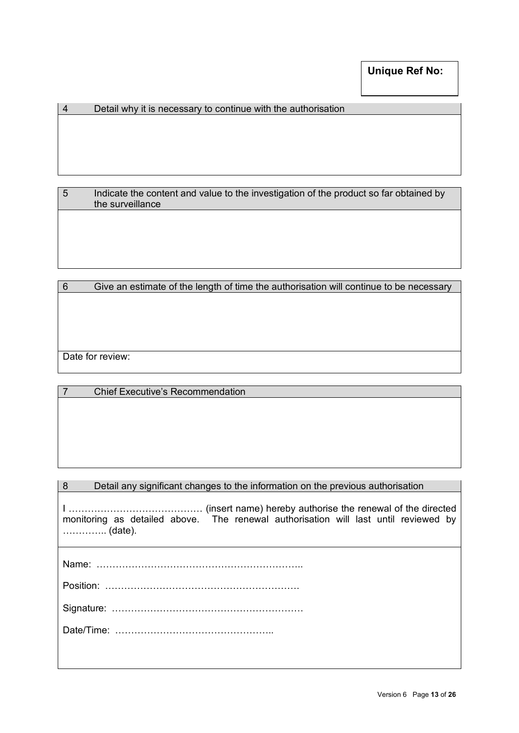#### 4 Detail why it is necessary to continue with the authorisation

5 Indicate the content and value to the investigation of the product so far obtained by the surveillance

| 6 | Give an estimate of the length of time the authorisation will continue to be necessary |
|---|----------------------------------------------------------------------------------------|
|   |                                                                                        |
|   |                                                                                        |
|   |                                                                                        |
|   |                                                                                        |
|   |                                                                                        |
|   | Date for review:                                                                       |
|   |                                                                                        |

|  | <b>Chief Executive's Recommendation</b> |
|--|-----------------------------------------|
|--|-----------------------------------------|

|  |  | Detail any significant changes to the information on the previous authorisation |  |
|--|--|---------------------------------------------------------------------------------|--|
|--|--|---------------------------------------------------------------------------------|--|

I …………………………………… (insert name) hereby authorise the renewal of the directed monitoring as detailed above. The renewal authorisation will last until reviewed by ………….. (date).

Name: ………………………………………………………..

Signature: ……………………………………………………

Date/Time: …………………………………………..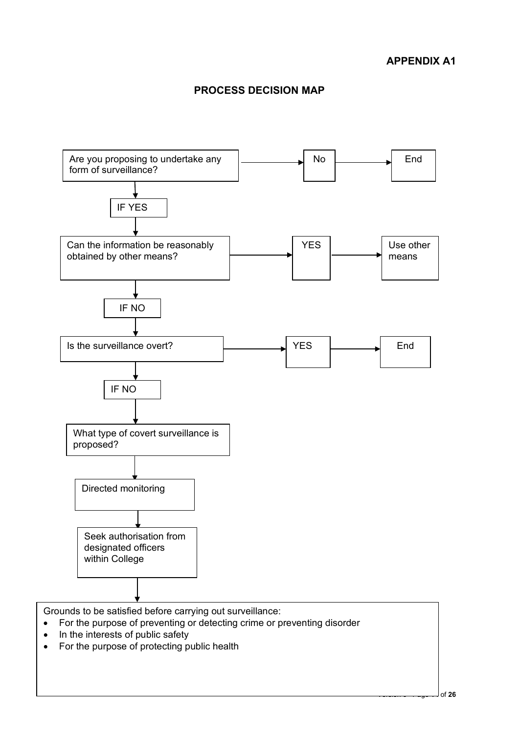### **PROCESS DECISION MAP**



- For the purpose of preventing or detecting crime or preventing disorder
- In the interests of public safety
- For the purpose of protecting public health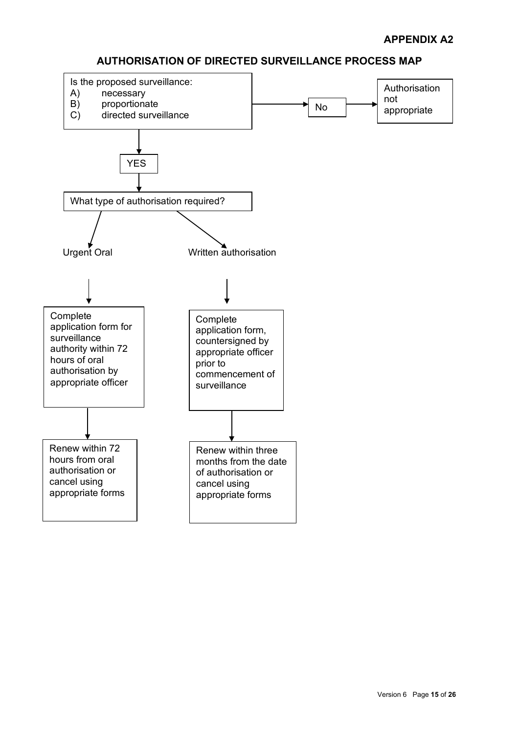### **AUTHORISATION OF DIRECTED SURVEILLANCE PROCESS MAP**

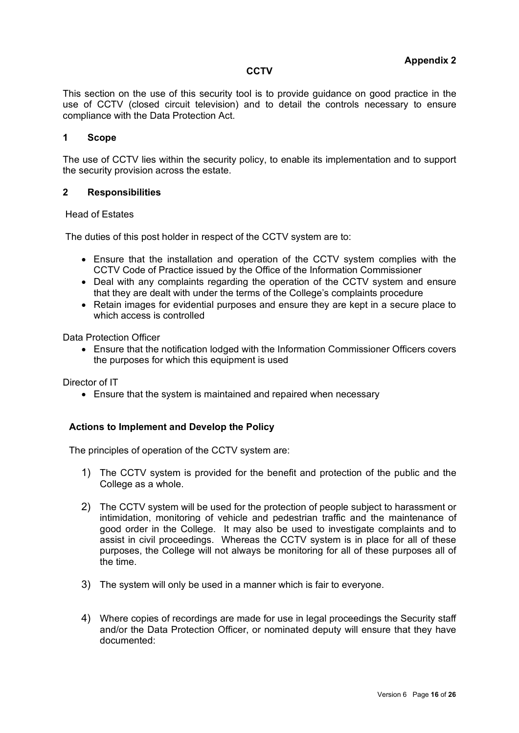#### **CCTV**

This section on the use of this security tool is to provide guidance on good practice in the use of CCTV (closed circuit television) and to detail the controls necessary to ensure compliance with the Data Protection Act.

#### **1 Scope**

The use of CCTV lies within the security policy, to enable its implementation and to support the security provision across the estate.

#### **2 Responsibilities**

#### Head of Estates

The duties of this post holder in respect of the CCTV system are to:

- Ensure that the installation and operation of the CCTV system complies with the CCTV Code of Practice issued by the Office of the Information Commissioner
- Deal with any complaints regarding the operation of the CCTV system and ensure that they are dealt with under the terms of the College's complaints procedure
- Retain images for evidential purposes and ensure they are kept in a secure place to which access is controlled

Data Protection Officer

• Ensure that the notification lodged with the Information Commissioner Officers covers the purposes for which this equipment is used

Director of IT

• Ensure that the system is maintained and repaired when necessary

#### **Actions to Implement and Develop the Policy**

The principles of operation of the CCTV system are:

- 1) The CCTV system is provided for the benefit and protection of the public and the College as a whole.
- 2) The CCTV system will be used for the protection of people subject to harassment or intimidation, monitoring of vehicle and pedestrian traffic and the maintenance of good order in the College. It may also be used to investigate complaints and to assist in civil proceedings. Whereas the CCTV system is in place for all of these purposes, the College will not always be monitoring for all of these purposes all of the time.
- 3) The system will only be used in a manner which is fair to everyone.
- 4) Where copies of recordings are made for use in legal proceedings the Security staff and/or the Data Protection Officer, or nominated deputy will ensure that they have documented: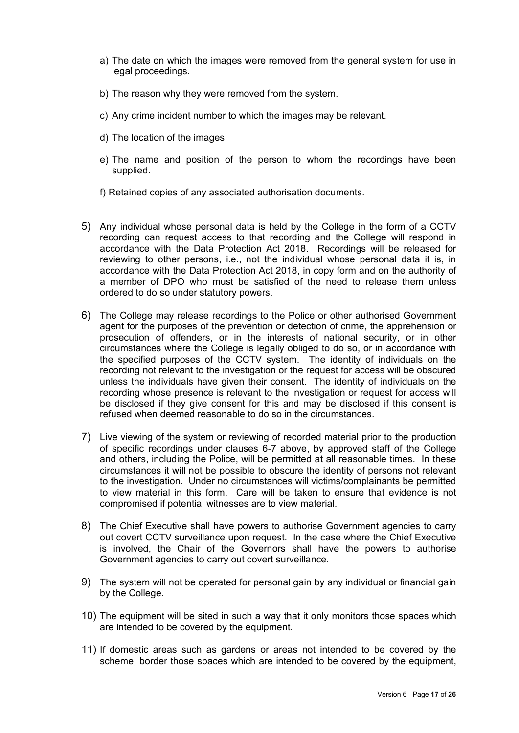- a) The date on which the images were removed from the general system for use in legal proceedings.
- b) The reason why they were removed from the system.
- c) Any crime incident number to which the images may be relevant.
- d) The location of the images.
- e) The name and position of the person to whom the recordings have been supplied.
- f) Retained copies of any associated authorisation documents.
- 5) Any individual whose personal data is held by the College in the form of a CCTV recording can request access to that recording and the College will respond in accordance with the Data Protection Act 2018. Recordings will be released for reviewing to other persons, i.e., not the individual whose personal data it is, in accordance with the Data Protection Act 2018, in copy form and on the authority of a member of DPO who must be satisfied of the need to release them unless ordered to do so under statutory powers.
- 6) The College may release recordings to the Police or other authorised Government agent for the purposes of the prevention or detection of crime, the apprehension or prosecution of offenders, or in the interests of national security, or in other circumstances where the College is legally obliged to do so, or in accordance with the specified purposes of the CCTV system. The identity of individuals on the recording not relevant to the investigation or the request for access will be obscured unless the individuals have given their consent. The identity of individuals on the recording whose presence is relevant to the investigation or request for access will be disclosed if they give consent for this and may be disclosed if this consent is refused when deemed reasonable to do so in the circumstances.
- 7) Live viewing of the system or reviewing of recorded material prior to the production of specific recordings under clauses 6-7 above, by approved staff of the College and others, including the Police, will be permitted at all reasonable times. In these circumstances it will not be possible to obscure the identity of persons not relevant to the investigation. Under no circumstances will victims/complainants be permitted to view material in this form. Care will be taken to ensure that evidence is not compromised if potential witnesses are to view material.
- 8) The Chief Executive shall have powers to authorise Government agencies to carry out covert CCTV surveillance upon request. In the case where the Chief Executive is involved, the Chair of the Governors shall have the powers to authorise Government agencies to carry out covert surveillance.
- 9) The system will not be operated for personal gain by any individual or financial gain by the College.
- 10) The equipment will be sited in such a way that it only monitors those spaces which are intended to be covered by the equipment.
- 11) If domestic areas such as gardens or areas not intended to be covered by the scheme, border those spaces which are intended to be covered by the equipment,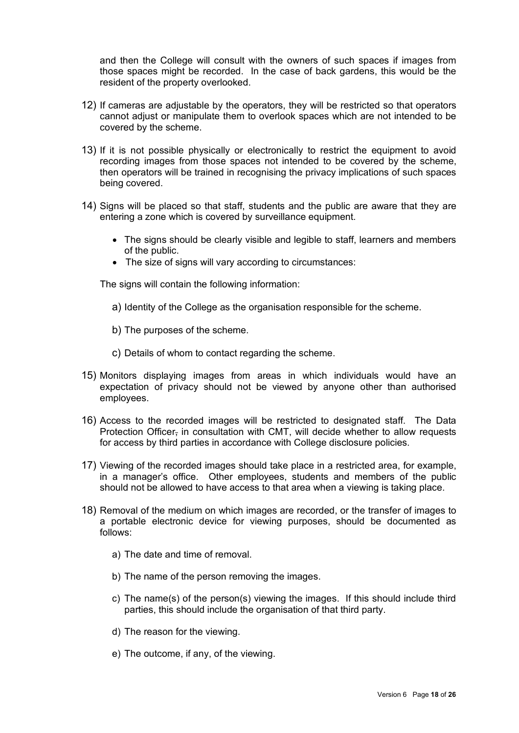and then the College will consult with the owners of such spaces if images from those spaces might be recorded. In the case of back gardens, this would be the resident of the property overlooked.

- 12) If cameras are adjustable by the operators, they will be restricted so that operators cannot adjust or manipulate them to overlook spaces which are not intended to be covered by the scheme.
- 13) If it is not possible physically or electronically to restrict the equipment to avoid recording images from those spaces not intended to be covered by the scheme, then operators will be trained in recognising the privacy implications of such spaces being covered.
- 14) Signs will be placed so that staff, students and the public are aware that they are entering a zone which is covered by surveillance equipment.
	- The signs should be clearly visible and legible to staff, learners and members of the public.
	- The size of signs will vary according to circumstances:

The signs will contain the following information:

- a) Identity of the College as the organisation responsible for the scheme.
- b) The purposes of the scheme.
- c) Details of whom to contact regarding the scheme.
- 15) Monitors displaying images from areas in which individuals would have an expectation of privacy should not be viewed by anyone other than authorised employees.
- 16) Access to the recorded images will be restricted to designated staff. The Data Protection Officer, in consultation with CMT, will decide whether to allow requests for access by third parties in accordance with College disclosure policies.
- 17) Viewing of the recorded images should take place in a restricted area, for example, in a manager's office. Other employees, students and members of the public should not be allowed to have access to that area when a viewing is taking place.
- 18) Removal of the medium on which images are recorded, or the transfer of images to a portable electronic device for viewing purposes, should be documented as follows:
	- a) The date and time of removal.
	- b) The name of the person removing the images.
	- c) The name(s) of the person(s) viewing the images. If this should include third parties, this should include the organisation of that third party.
	- d) The reason for the viewing.
	- e) The outcome, if any, of the viewing.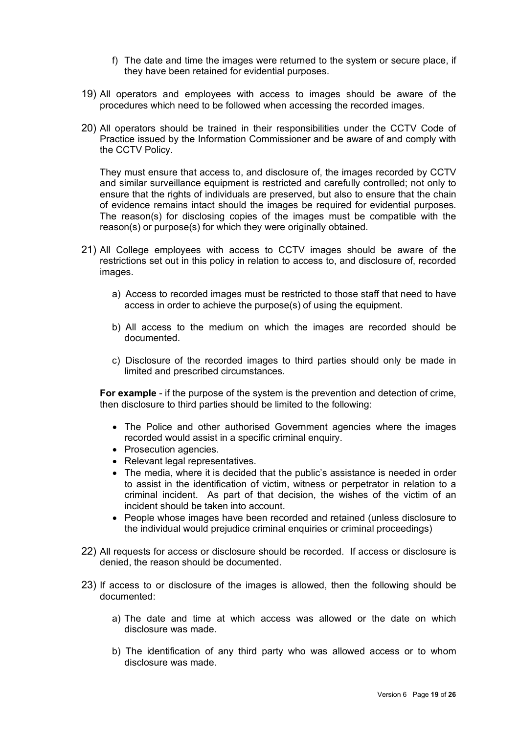- f) The date and time the images were returned to the system or secure place, if they have been retained for evidential purposes.
- 19) All operators and employees with access to images should be aware of the procedures which need to be followed when accessing the recorded images.
- 20) All operators should be trained in their responsibilities under the CCTV Code of Practice issued by the Information Commissioner and be aware of and comply with the CCTV Policy.

They must ensure that access to, and disclosure of, the images recorded by CCTV and similar surveillance equipment is restricted and carefully controlled; not only to ensure that the rights of individuals are preserved, but also to ensure that the chain of evidence remains intact should the images be required for evidential purposes. The reason(s) for disclosing copies of the images must be compatible with the reason(s) or purpose(s) for which they were originally obtained.

- 21) All College employees with access to CCTV images should be aware of the restrictions set out in this policy in relation to access to, and disclosure of, recorded images.
	- a) Access to recorded images must be restricted to those staff that need to have access in order to achieve the purpose(s) of using the equipment.
	- b) All access to the medium on which the images are recorded should be documented.
	- c) Disclosure of the recorded images to third parties should only be made in limited and prescribed circumstances.

**For example** - if the purpose of the system is the prevention and detection of crime, then disclosure to third parties should be limited to the following:

- The Police and other authorised Government agencies where the images recorded would assist in a specific criminal enquiry.
- Prosecution agencies.
- Relevant legal representatives.
- The media, where it is decided that the public's assistance is needed in order to assist in the identification of victim, witness or perpetrator in relation to a criminal incident. As part of that decision, the wishes of the victim of an incident should be taken into account.
- People whose images have been recorded and retained (unless disclosure to the individual would prejudice criminal enquiries or criminal proceedings)
- 22) All requests for access or disclosure should be recorded. If access or disclosure is denied, the reason should be documented.
- 23) If access to or disclosure of the images is allowed, then the following should be documented:
	- a) The date and time at which access was allowed or the date on which disclosure was made.
	- b) The identification of any third party who was allowed access or to whom disclosure was made.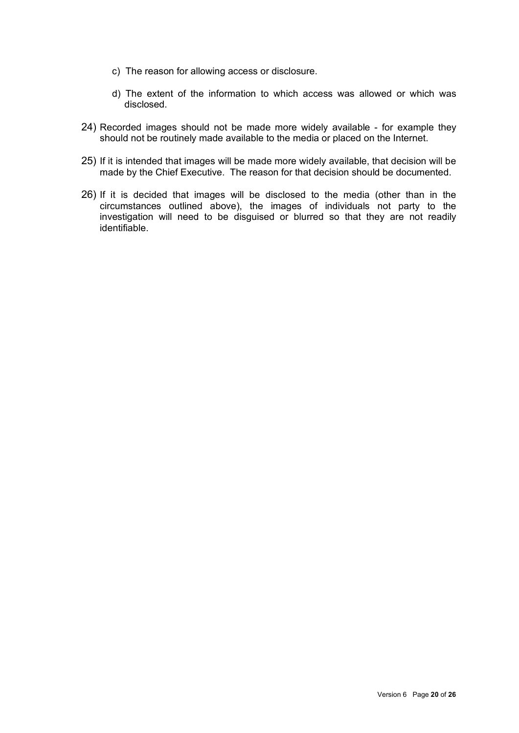- c) The reason for allowing access or disclosure.
- d) The extent of the information to which access was allowed or which was disclosed.
- 24) Recorded images should not be made more widely available for example they should not be routinely made available to the media or placed on the Internet.
- 25) If it is intended that images will be made more widely available, that decision will be made by the Chief Executive. The reason for that decision should be documented.
- 26) If it is decided that images will be disclosed to the media (other than in the circumstances outlined above), the images of individuals not party to the investigation will need to be disguised or blurred so that they are not readily identifiable.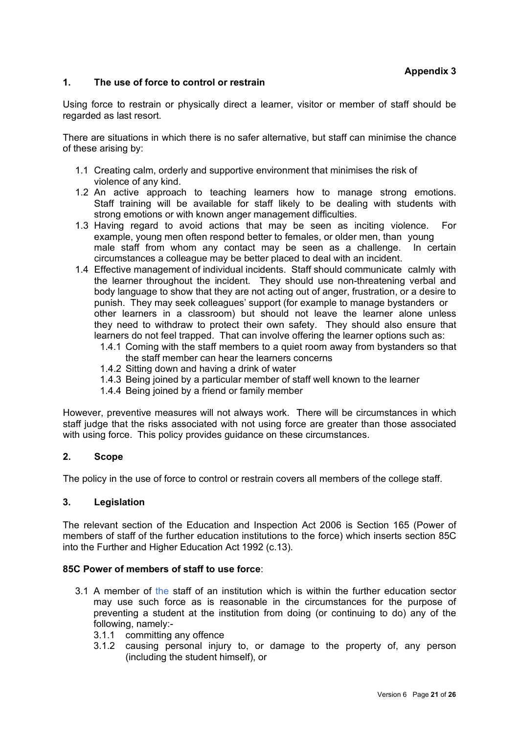#### **1. The use of force to control or restrain**

Using force to restrain or physically direct a learner, visitor or member of staff should be regarded as last resort.

There are situations in which there is no safer alternative, but staff can minimise the chance of these arising by:

- 1.1 Creating calm, orderly and supportive environment that minimises the risk of violence of any kind.
- 1.2 An active approach to teaching learners how to manage strong emotions. Staff training will be available for staff likely to be dealing with students with strong emotions or with known anger management difficulties.
- 1.3 Having regard to avoid actions that may be seen as inciting violence. For example, young men often respond better to females, or older men, than young male staff from whom any contact may be seen as a challenge. In certain circumstances a colleague may be better placed to deal with an incident.
- 1.4 Effective management of individual incidents. Staff should communicate calmly with the learner throughout the incident. They should use non-threatening verbal and body language to show that they are not acting out of anger, frustration, or a desire to punish. They may seek colleagues' support (for example to manage bystanders or other learners in a classroom) but should not leave the learner alone unless they need to withdraw to protect their own safety. They should also ensure that learners do not feel trapped. That can involve offering the learner options such as:
	- 1.4.1 Coming with the staff members to a quiet room away from bystanders so that the staff member can hear the learners concerns
	- 1.4.2 Sitting down and having a drink of water
	- 1.4.3 Being joined by a particular member of staff well known to the learner
	- 1.4.4 Being joined by a friend or family member

However, preventive measures will not always work. There will be circumstances in which staff judge that the risks associated with not using force are greater than those associated with using force. This policy provides guidance on these circumstances.

#### **2. Scope**

The policy in the use of force to control or restrain covers all members of the college staff.

#### **3. Legislation**

The relevant section of the Education and Inspection Act 2006 is Section 165 (Power of members of staff of the further education institutions to the force) which inserts section 85C into the Further and Higher Education Act 1992 (c.13).

#### **85C Power of members of staff to use force**:

- 3.1 A member of the staff of an institution which is within the further education sector may use such force as is reasonable in the circumstances for the purpose of preventing a student at the institution from doing (or continuing to do) any of the following, namely:-
	- 3.1.1 committing any offence
	- 3.1.2 causing personal injury to, or damage to the property of, any person (including the student himself), or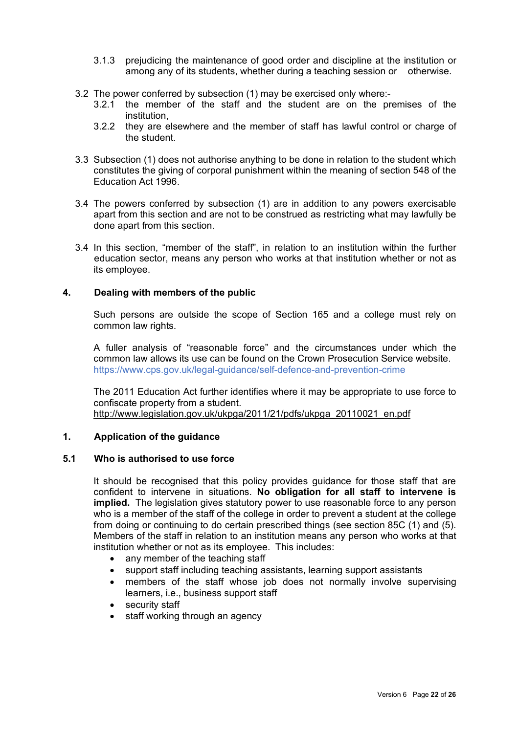- 3.1.3 prejudicing the maintenance of good order and discipline at the institution or among any of its students, whether during a teaching session or otherwise.
- 3.2 The power conferred by subsection (1) may be exercised only where:-
	- 3.2.1 the member of the staff and the student are on the premises of the institution,
	- 3.2.2 they are elsewhere and the member of staff has lawful control or charge of the student.
- 3.3 Subsection (1) does not authorise anything to be done in relation to the student which constitutes the giving of corporal punishment within the meaning of section 548 of the Education Act 1996.
- 3.4 The powers conferred by subsection (1) are in addition to any powers exercisable apart from this section and are not to be construed as restricting what may lawfully be done apart from this section.
- 3.4 In this section, "member of the staff", in relation to an institution within the further education sector, means any person who works at that institution whether or not as its employee.

#### **4. Dealing with members of the public**

Such persons are outside the scope of Section 165 and a college must rely on common law rights.

A fuller analysis of "reasonable force" and the circumstances under which the common law allows its use can be found on the Crown Prosecution Service website. https://www.cps.gov.uk/legal-guidance/self-defence-and-prevention-crime

The 2011 Education Act further identifies where it may be appropriate to use force to confiscate property from a student. [http://www.legislation.gov.uk/ukpga/2011/21/pdfs/ukpga\\_20110021\\_en.pdf](http://www.legislation.gov.uk/ukpga/2011/21/pdfs/ukpga_20110021_en.pdf)

#### **1. Application of the guidance**

#### **5.1 Who is authorised to use force**

It should be recognised that this policy provides guidance for those staff that are confident to intervene in situations. **No obligation for all staff to intervene is implied.** The legislation gives statutory power to use reasonable force to any person who is a member of the staff of the college in order to prevent a student at the college from doing or continuing to do certain prescribed things (see section 85C (1) and (5). Members of the staff in relation to an institution means any person who works at that institution whether or not as its employee. This includes:

- any member of the teaching staff
- support staff including teaching assistants, learning support assistants
- members of the staff whose job does not normally involve supervising learners, i.e., business support staff
- security staff
- staff working through an agency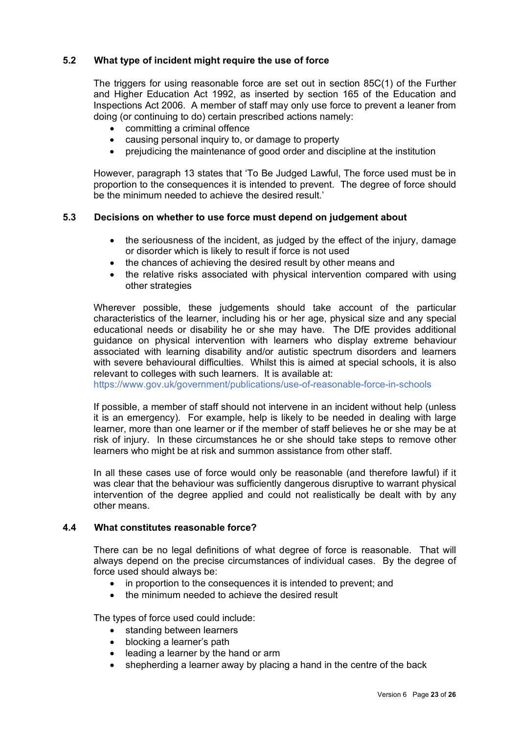#### **5.2 What type of incident might require the use of force**

The triggers for using reasonable force are set out in section 85C(1) of the Further and Higher Education Act 1992, as inserted by section 165 of the Education and Inspections Act 2006. A member of staff may only use force to prevent a leaner from doing (or continuing to do) certain prescribed actions namely:

- committing a criminal offence
- causing personal inquiry to, or damage to property
- prejudicing the maintenance of good order and discipline at the institution

However, paragraph 13 states that 'To Be Judged Lawful, The force used must be in proportion to the consequences it is intended to prevent. The degree of force should be the minimum needed to achieve the desired result.'

#### **5.3 Decisions on whether to use force must depend on judgement about**

- the seriousness of the incident, as judged by the effect of the injury, damage or disorder which is likely to result if force is not used
- the chances of achieving the desired result by other means and
- the relative risks associated with physical intervention compared with using other strategies

Wherever possible, these judgements should take account of the particular characteristics of the learner, including his or her age, physical size and any special educational needs or disability he or she may have. The DfE provides additional guidance on physical intervention with learners who display extreme behaviour associated with learning disability and/or autistic spectrum disorders and learners with severe behavioural difficulties. Whilst this is aimed at special schools, it is also relevant to colleges with such learners. It is available at:

https://www.gov.uk/government/publications/use-of-reasonable-force-in-schools

If possible, a member of staff should not intervene in an incident without help (unless it is an emergency). For example, help is likely to be needed in dealing with large learner, more than one learner or if the member of staff believes he or she may be at risk of injury. In these circumstances he or she should take steps to remove other learners who might be at risk and summon assistance from other staff.

In all these cases use of force would only be reasonable (and therefore lawful) if it was clear that the behaviour was sufficiently dangerous disruptive to warrant physical intervention of the degree applied and could not realistically be dealt with by any other means.

#### **4.4 What constitutes reasonable force?**

There can be no legal definitions of what degree of force is reasonable. That will always depend on the precise circumstances of individual cases. By the degree of force used should always be:

- in proportion to the consequences it is intended to prevent; and
- the minimum needed to achieve the desired result

The types of force used could include:

- standing between learners
- blocking a learner's path
- leading a learner by the hand or arm
- shepherding a learner away by placing a hand in the centre of the back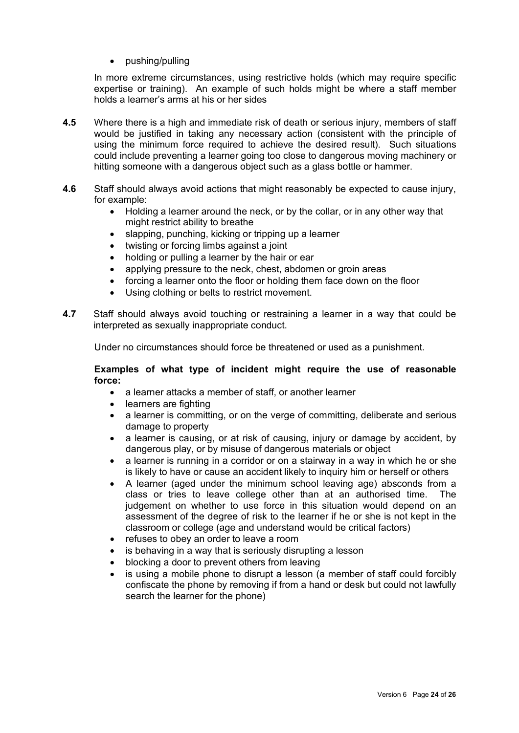• pushing/pulling

In more extreme circumstances, using restrictive holds (which may require specific expertise or training). An example of such holds might be where a staff member holds a learner's arms at his or her sides

- **4.5** Where there is a high and immediate risk of death or serious injury, members of staff would be justified in taking any necessary action (consistent with the principle of using the minimum force required to achieve the desired result). Such situations could include preventing a learner going too close to dangerous moving machinery or hitting someone with a dangerous object such as a glass bottle or hammer.
- **4.6** Staff should always avoid actions that might reasonably be expected to cause injury, for example:
	- Holding a learner around the neck, or by the collar, or in any other way that might restrict ability to breathe
	- slapping, punching, kicking or tripping up a learner
	- twisting or forcing limbs against a joint
	- holding or pulling a learner by the hair or ear
	- applying pressure to the neck, chest, abdomen or groin areas
	- forcing a learner onto the floor or holding them face down on the floor
	- Using clothing or belts to restrict movement.
- **4.7** Staff should always avoid touching or restraining a learner in a way that could be interpreted as sexually inappropriate conduct.

Under no circumstances should force be threatened or used as a punishment.

#### **Examples of what type of incident might require the use of reasonable force:**

- a learner attacks a member of staff, or another learner
- learners are fighting
- a learner is committing, or on the verge of committing, deliberate and serious damage to property
- a learner is causing, or at risk of causing, injury or damage by accident, by dangerous play, or by misuse of dangerous materials or object
- a learner is running in a corridor or on a stairway in a way in which he or she is likely to have or cause an accident likely to inquiry him or herself or others
- A learner (aged under the minimum school leaving age) absconds from a class or tries to leave college other than at an authorised time. The judgement on whether to use force in this situation would depend on an assessment of the degree of risk to the learner if he or she is not kept in the classroom or college (age and understand would be critical factors)
- refuses to obey an order to leave a room
- is behaving in a way that is seriously disrupting a lesson
- blocking a door to prevent others from leaving
- is using a mobile phone to disrupt a lesson (a member of staff could forcibly confiscate the phone by removing if from a hand or desk but could not lawfully search the learner for the phone)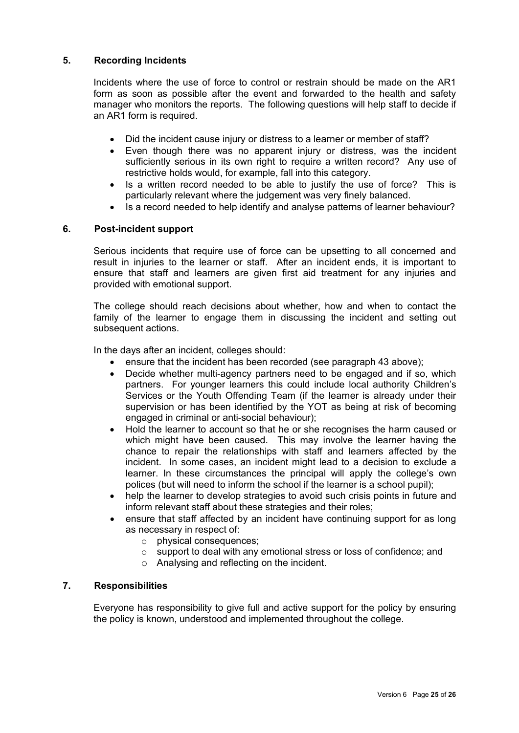#### **5. Recording Incidents**

Incidents where the use of force to control or restrain should be made on the AR1 form as soon as possible after the event and forwarded to the health and safety manager who monitors the reports. The following questions will help staff to decide if an AR1 form is required.

- Did the incident cause injury or distress to a learner or member of staff?
- Even though there was no apparent injury or distress, was the incident sufficiently serious in its own right to require a written record? Any use of restrictive holds would, for example, fall into this category.
- Is a written record needed to be able to justify the use of force? This is particularly relevant where the judgement was very finely balanced.
- Is a record needed to help identify and analyse patterns of learner behaviour?

#### **6. Post-incident support**

Serious incidents that require use of force can be upsetting to all concerned and result in injuries to the learner or staff. After an incident ends, it is important to ensure that staff and learners are given first aid treatment for any injuries and provided with emotional support.

The college should reach decisions about whether, how and when to contact the family of the learner to engage them in discussing the incident and setting out subsequent actions.

In the days after an incident, colleges should:

- ensure that the incident has been recorded (see paragraph 43 above);
- Decide whether multi-agency partners need to be engaged and if so, which partners. For younger learners this could include local authority Children's Services or the Youth Offending Team (if the learner is already under their supervision or has been identified by the YOT as being at risk of becoming engaged in criminal or anti-social behaviour);
- Hold the learner to account so that he or she recognises the harm caused or which might have been caused. This may involve the learner having the chance to repair the relationships with staff and learners affected by the incident. In some cases, an incident might lead to a decision to exclude a learner. In these circumstances the principal will apply the college's own polices (but will need to inform the school if the learner is a school pupil);
- help the learner to develop strategies to avoid such crisis points in future and inform relevant staff about these strategies and their roles;
- ensure that staff affected by an incident have continuing support for as long as necessary in respect of:
	- o physical consequences;
	- o support to deal with any emotional stress or loss of confidence; and
	- o Analysing and reflecting on the incident.

#### **7. Responsibilities**

Everyone has responsibility to give full and active support for the policy by ensuring the policy is known, understood and implemented throughout the college.